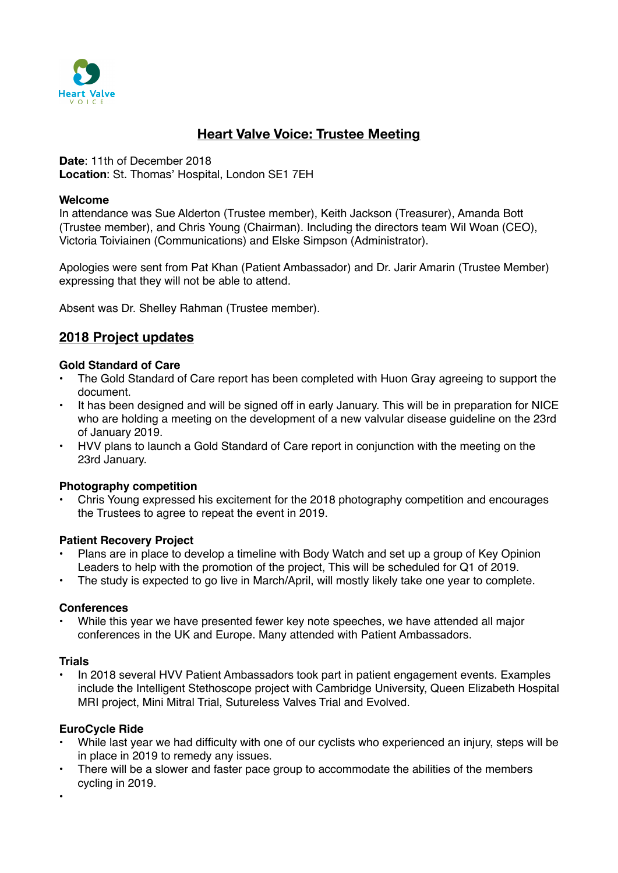

# **Heart Valve Voice: Trustee Meeting**

**Date**: 11th of December 2018 **Location**: St. Thomas' Hospital, London SE1 7EH

#### **Welcome**

In attendance was Sue Alderton (Trustee member), Keith Jackson (Treasurer), Amanda Bott (Trustee member), and Chris Young (Chairman). Including the directors team Wil Woan (CEO), Victoria Toiviainen (Communications) and Elske Simpson (Administrator).

Apologies were sent from Pat Khan (Patient Ambassador) and Dr. Jarir Amarin (Trustee Member) expressing that they will not be able to attend.

Absent was Dr. Shelley Rahman (Trustee member).

# **2018 Project updates**

#### **Gold Standard of Care**

- The Gold Standard of Care report has been completed with Huon Gray agreeing to support the document.
- It has been designed and will be signed off in early January. This will be in preparation for NICE who are holding a meeting on the development of a new valvular disease guideline on the 23rd of January 2019.
- HVV plans to launch a Gold Standard of Care report in conjunction with the meeting on the 23rd January.

### **Photography competition**

• Chris Young expressed his excitement for the 2018 photography competition and encourages the Trustees to agree to repeat the event in 2019.

#### **Patient Recovery Project**

- Plans are in place to develop a timeline with Body Watch and set up a group of Key Opinion Leaders to help with the promotion of the project, This will be scheduled for Q1 of 2019.
- The study is expected to go live in March/April, will mostly likely take one year to complete.

#### **Conferences**

While this year we have presented fewer key note speeches, we have attended all major conferences in the UK and Europe. Many attended with Patient Ambassadors.

#### **Trials**

• In 2018 several HVV Patient Ambassadors took part in patient engagement events. Examples include the Intelligent Stethoscope project with Cambridge University, Queen Elizabeth Hospital MRI project, Mini Mitral Trial, Sutureless Valves Trial and Evolved.

#### **EuroCycle Ride**

- While last year we had difficulty with one of our cyclists who experienced an injury, steps will be in place in 2019 to remedy any issues.
- There will be a slower and faster pace group to accommodate the abilities of the members cycling in 2019.
- •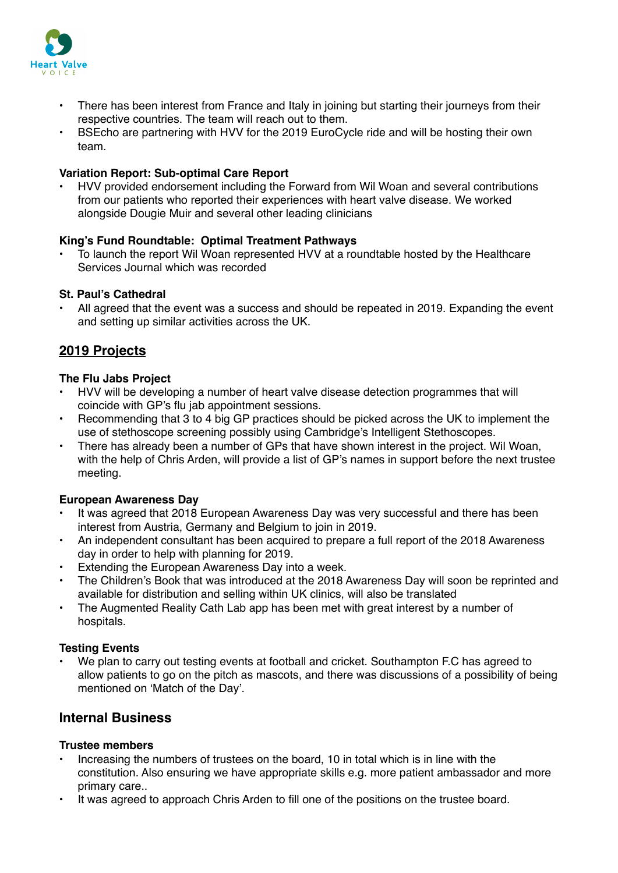

- There has been interest from France and Italy in joining but starting their journeys from their respective countries. The team will reach out to them.
- BSEcho are partnering with HVV for the 2019 EuroCycle ride and will be hosting their own team.

### **Variation Report: Sub-optimal Care Report**

• HVV provided endorsement including the Forward from Wil Woan and several contributions from our patients who reported their experiences with heart valve disease. We worked alongside Dougie Muir and several other leading clinicians

### **King's Fund Roundtable: Optimal Treatment Pathways**

• To launch the report Wil Woan represented HVV at a roundtable hosted by the Healthcare Services Journal which was recorded

## **St. Paul's Cathedral**

• All agreed that the event was a success and should be repeated in 2019. Expanding the event and setting up similar activities across the UK.

# **2019 Projects**

### **The Flu Jabs Project**

- HVV will be developing a number of heart valve disease detection programmes that will coincide with GP's flu jab appointment sessions.
- Recommending that 3 to 4 big GP practices should be picked across the UK to implement the use of stethoscope screening possibly using Cambridge's Intelligent Stethoscopes.
- There has already been a number of GPs that have shown interest in the project. Wil Woan, with the help of Chris Arden, will provide a list of GP's names in support before the next trustee meeting.

### **European Awareness Day**

- It was agreed that 2018 European Awareness Day was very successful and there has been interest from Austria, Germany and Belgium to join in 2019.
- An independent consultant has been acquired to prepare a full report of the 2018 Awareness day in order to help with planning for 2019.
- Extending the European Awareness Day into a week.
- The Children's Book that was introduced at the 2018 Awareness Day will soon be reprinted and available for distribution and selling within UK clinics, will also be translated
- The Augmented Reality Cath Lab app has been met with great interest by a number of hospitals.

# **Testing Events**

• We plan to carry out testing events at football and cricket. Southampton F.C has agreed to allow patients to go on the pitch as mascots, and there was discussions of a possibility of being mentioned on 'Match of the Day'.

# **Internal Business**

### **Trustee members**

- Increasing the numbers of trustees on the board, 10 in total which is in line with the constitution. Also ensuring we have appropriate skills e.g. more patient ambassador and more primary care..
- It was agreed to approach Chris Arden to fill one of the positions on the trustee board.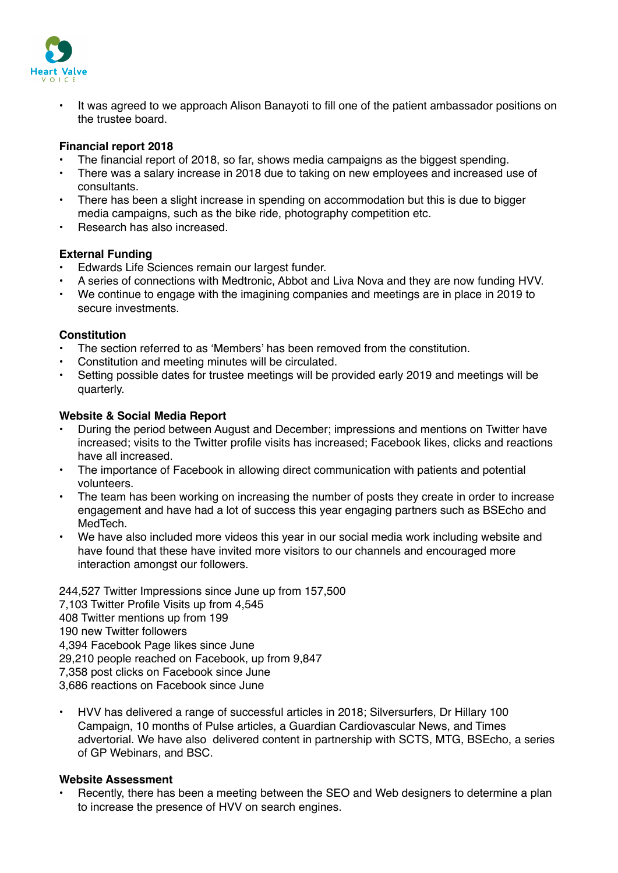

• It was agreed to we approach Alison Banayoti to fill one of the patient ambassador positions on the trustee board.

### **Financial report 2018**

- The financial report of 2018, so far, shows media campaigns as the biggest spending.
- There was a salary increase in 2018 due to taking on new employees and increased use of consultants.
- There has been a slight increase in spending on accommodation but this is due to bigger media campaigns, such as the bike ride, photography competition etc.
- Research has also increased.

### **External Funding**

- Edwards Life Sciences remain our largest funder.
- A series of connections with Medtronic, Abbot and Liva Nova and they are now funding HVV.
- We continue to engage with the imagining companies and meetings are in place in 2019 to secure investments.

### **Constitution**

- The section referred to as 'Members' has been removed from the constitution.
- Constitution and meeting minutes will be circulated.
- Setting possible dates for trustee meetings will be provided early 2019 and meetings will be quarterly.

### **Website & Social Media Report**

- During the period between August and December; impressions and mentions on Twitter have increased; visits to the Twitter profile visits has increased; Facebook likes, clicks and reactions have all increased.
- The importance of Facebook in allowing direct communication with patients and potential volunteers.
- The team has been working on increasing the number of posts they create in order to increase engagement and have had a lot of success this year engaging partners such as BSEcho and MedTech.
- We have also included more videos this year in our social media work including website and have found that these have invited more visitors to our channels and encouraged more interaction amongst our followers.

244,527 Twitter Impressions since June up from 157,500 7,103 Twitter Profile Visits up from 4,545 408 Twitter mentions up from 199 190 new Twitter followers 4,394 Facebook Page likes since June 29,210 people reached on Facebook, up from 9,847 7,358 post clicks on Facebook since June 3,686 reactions on Facebook since June

• HVV has delivered a range of successful articles in 2018; Silversurfers, Dr Hillary 100 Campaign, 10 months of Pulse articles, a Guardian Cardiovascular News, and Times advertorial. We have also delivered content in partnership with SCTS, MTG, BSEcho, a series of GP Webinars, and BSC.

### **Website Assessment**

Recently, there has been a meeting between the SEO and Web designers to determine a plan to increase the presence of HVV on search engines.